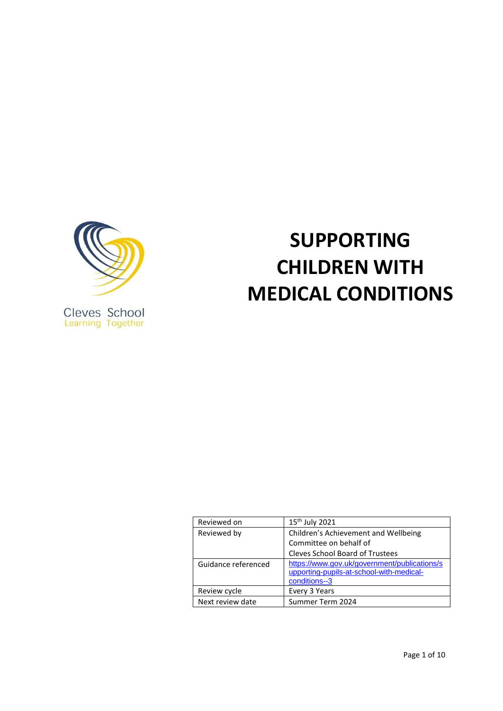

Cleves School<br>Learning Together

# **SUPPORTING CHILDREN WITH MEDICAL CONDITIONS**

| Reviewed on         | 15 <sup>th</sup> July 2021                                                                                |
|---------------------|-----------------------------------------------------------------------------------------------------------|
| Reviewed by         | Children's Achievement and Wellbeing                                                                      |
|                     | Committee on behalf of                                                                                    |
|                     | <b>Cleves School Board of Trustees</b>                                                                    |
| Guidance referenced | https://www.gov.uk/government/publications/s<br>upporting-pupils-at-school-with-medical-<br>conditions--3 |
| Review cycle        | Every 3 Years                                                                                             |
| Next review date    | Summer Term 2024                                                                                          |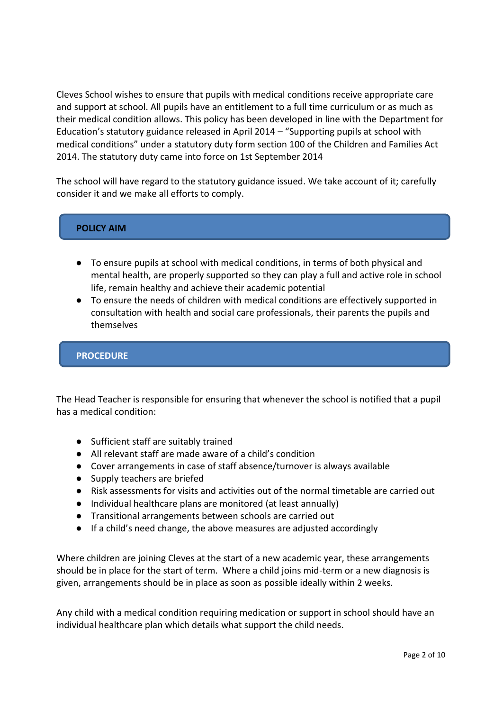Cleves School wishes to ensure that pupils with medical conditions receive appropriate care and support at school. All pupils have an entitlement to a full time curriculum or as much as their medical condition allows. This policy has been developed in line with the Department for Education's statutory guidance released in April 2014 – "Supporting pupils at school with medical conditions" under a statutory duty form section 100 of the Children and Families Act 2014. The statutory duty came into force on 1st September 2014

The school will have regard to the statutory guidance issued. We take account of it; carefully consider it and we make all efforts to comply.

# **POLICY AIM**

- To ensure pupils at school with medical conditions, in terms of both physical and mental health, are properly supported so they can play a full and active role in school life, remain healthy and achieve their academic potential
- To ensure the needs of children with medical conditions are effectively supported in consultation with health and social care professionals, their parents the pupils and themselves

## **PROCEDURE**

The Head Teacher is responsible for ensuring that whenever the school is notified that a pupil has a medical condition:

- Sufficient staff are suitably trained
- All relevant staff are made aware of a child's condition
- Cover arrangements in case of staff absence/turnover is always available
- Supply teachers are briefed
- Risk assessments for visits and activities out of the normal timetable are carried out
- Individual healthcare plans are monitored (at least annually)
- Transitional arrangements between schools are carried out
- If a child's need change, the above measures are adjusted accordingly

Where children are joining Cleves at the start of a new academic year, these arrangements should be in place for the start of term. Where a child joins mid-term or a new diagnosis is given, arrangements should be in place as soon as possible ideally within 2 weeks.

Any child with a medical condition requiring medication or support in school should have an individual healthcare plan which details what support the child needs.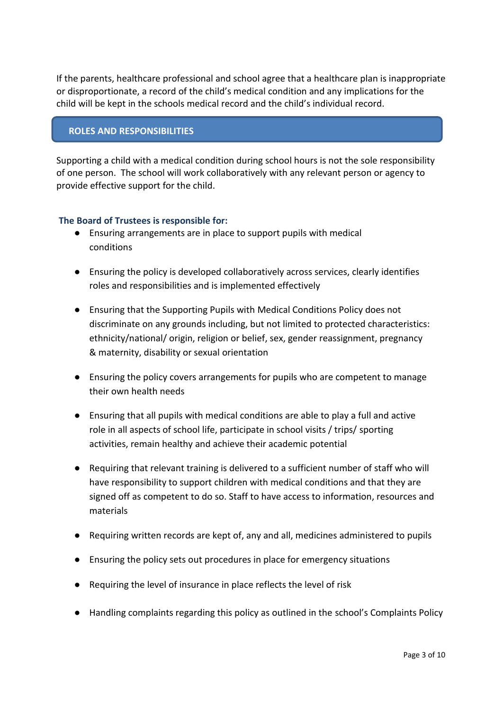If the parents, healthcare professional and school agree that a healthcare plan is inappropriate or disproportionate, a record of the child's medical condition and any implications for the child will be kept in the schools medical record and the child's individual record.

## **ROLES AND RESPONSIBILITIES**

Supporting a child with a medical condition during school hours is not the sole responsibility of one person. The school will work collaboratively with any relevant person or agency to provide effective support for the child.

## **The Board of Trustees is responsible for:**

- Ensuring arrangements are in place to support pupils with medical conditions
- Ensuring the policy is developed collaboratively across services, clearly identifies roles and responsibilities and is implemented effectively
- Ensuring that the Supporting Pupils with Medical Conditions Policy does not discriminate on any grounds including, but not limited to protected characteristics: ethnicity/national/ origin, religion or belief, sex, gender reassignment, pregnancy & maternity, disability or sexual orientation
- Ensuring the policy covers arrangements for pupils who are competent to manage their own health needs
- Ensuring that all pupils with medical conditions are able to play a full and active role in all aspects of school life, participate in school visits / trips/ sporting activities, remain healthy and achieve their academic potential
- Requiring that relevant training is delivered to a sufficient number of staff who will have responsibility to support children with medical conditions and that they are signed off as competent to do so. Staff to have access to information, resources and materials
- Requiring written records are kept of, any and all, medicines administered to pupils
- Ensuring the policy sets out procedures in place for emergency situations
- Requiring the level of insurance in place reflects the level of risk
- Handling complaints regarding this policy as outlined in the school's Complaints Policy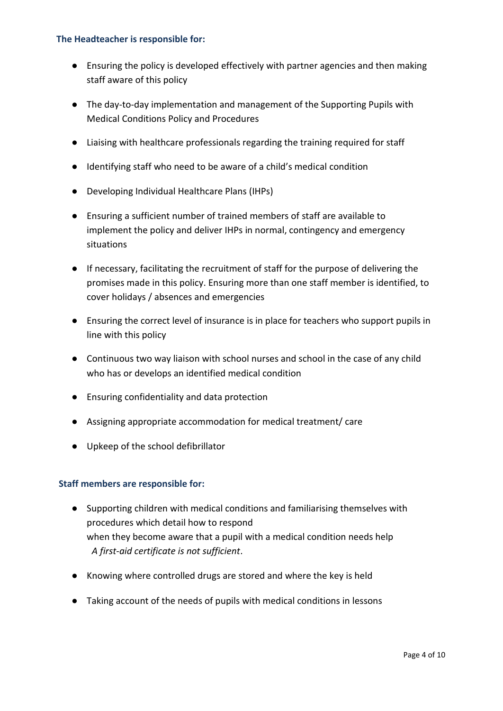## **The Headteacher is responsible for:**

- Ensuring the policy is developed effectively with partner agencies and then making staff aware of this policy
- The day-to-day implementation and management of the Supporting Pupils with Medical Conditions Policy and Procedures
- Liaising with healthcare professionals regarding the training required for staff
- Identifying staff who need to be aware of a child's medical condition
- Developing Individual Healthcare Plans (IHPs)
- Ensuring a sufficient number of trained members of staff are available to implement the policy and deliver IHPs in normal, contingency and emergency situations
- If necessary, facilitating the recruitment of staff for the purpose of delivering the promises made in this policy. Ensuring more than one staff member is identified, to cover holidays / absences and emergencies
- Ensuring the correct level of insurance is in place for teachers who support pupils in line with this policy
- Continuous two way liaison with school nurses and school in the case of any child who has or develops an identified medical condition
- Ensuring confidentiality and data protection
- Assigning appropriate accommodation for medical treatment/ care
- Upkeep of the school defibrillator

# **Staff members are responsible for:**

- Supporting children with medical conditions and familiarising themselves with procedures which detail how to respond when they become aware that a pupil with a medical condition needs help *A first-aid certificate is not sufficient*.
- Knowing where controlled drugs are stored and where the key is held
- Taking account of the needs of pupils with medical conditions in lessons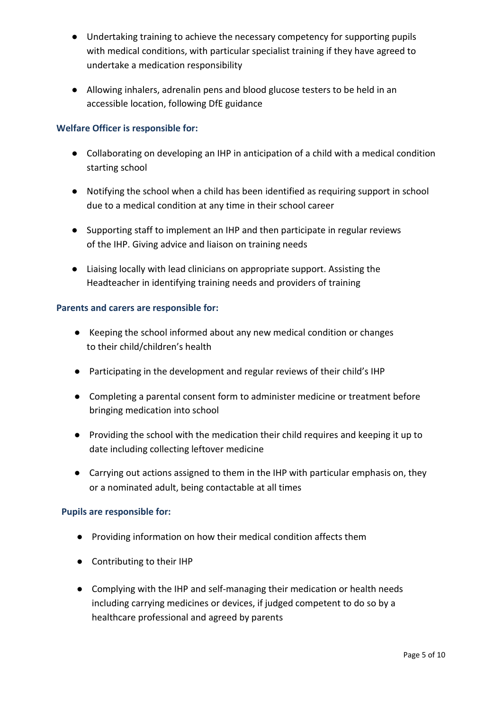- Undertaking training to achieve the necessary competency for supporting pupils with medical conditions, with particular specialist training if they have agreed to undertake a medication responsibility
- Allowing inhalers, adrenalin pens and blood glucose testers to be held in an accessible location, following DfE guidance

# **Welfare Officer is responsible for:**

- Collaborating on developing an IHP in anticipation of a child with a medical condition starting school
- Notifying the school when a child has been identified as requiring support in school due to a medical condition at any time in their school career
- Supporting staff to implement an IHP and then participate in regular reviews of the IHP. Giving advice and liaison on training needs
- Liaising locally with lead clinicians on appropriate support. Assisting the Headteacher in identifying training needs and providers of training

## **Parents and carers are responsible for:**

- Keeping the school informed about any new medical condition or changes to their child/children's health
- Participating in the development and regular reviews of their child's IHP
- Completing a parental consent form to administer medicine or treatment before bringing medication into school
- Providing the school with the medication their child requires and keeping it up to date including collecting leftover medicine
- Carrying out actions assigned to them in the IHP with particular emphasis on, they or a nominated adult, being contactable at all times

## **Pupils are responsible for:**

- Providing information on how their medical condition affects them
- Contributing to their IHP
- Complying with the IHP and self-managing their medication or health needs including carrying medicines or devices, if judged competent to do so by a healthcare professional and agreed by parents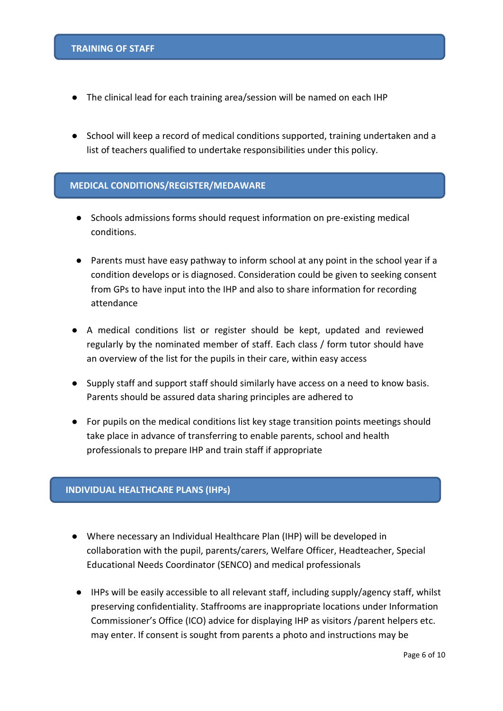- The clinical lead for each training area/session will be named on each IHP
- School will keep a record of medical conditions supported, training undertaken and a list of teachers qualified to undertake responsibilities under this policy.

#### **MEDICAL CONDITIONS/REGISTER/MEDAWARE**

- Schools admissions forms should request information on pre-existing medical conditions.
- Parents must have easy pathway to inform school at any point in the school year if a condition develops or is diagnosed. Consideration could be given to seeking consent from GPs to have input into the IHP and also to share information for recording attendance
- A medical conditions list or register should be kept, updated and reviewed regularly by the nominated member of staff. Each class / form tutor should have an overview of the list for the pupils in their care, within easy access
- Supply staff and support staff should similarly have access on a need to know basis. Parents should be assured data sharing principles are adhered to
- For pupils on the medical conditions list key stage transition points meetings should take place in advance of transferring to enable parents, school and health professionals to prepare IHP and train staff if appropriate

#### **INDIVIDUAL HEALTHCARE PLANS (IHPs)**

- Where necessary an Individual Healthcare Plan (IHP) will be developed in collaboration with the pupil, parents/carers, Welfare Officer, Headteacher, Special Educational Needs Coordinator (SENCO) and medical professionals
- IHPs will be easily accessible to all relevant staff, including supply/agency staff, whilst preserving confidentiality. Staffrooms are inappropriate locations under Information Commissioner's Office (ICO) advice for displaying IHP as visitors /parent helpers etc. may enter. If consent is sought from parents a photo and instructions may be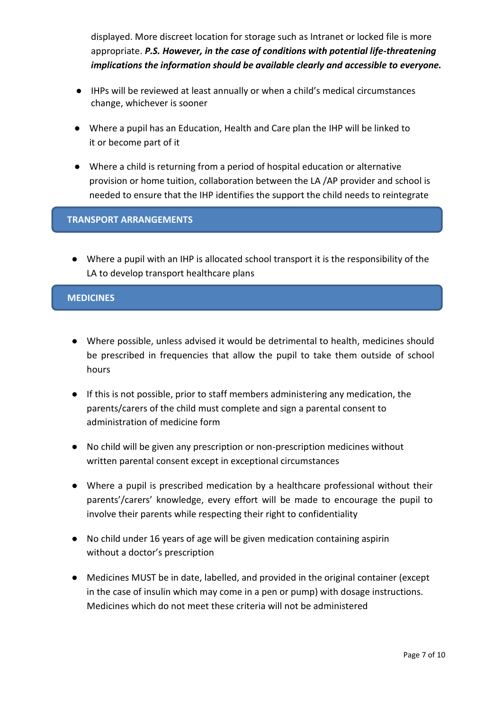displayed. More discreet location for storage such as Intranet or locked file is more appropriate. *P.S. However, in the case of conditions with potential life-threatening implications the information should be available clearly and accessible to everyone.*

- IHPs will be reviewed at least annually or when a child's medical circumstances change, whichever is sooner
- Where a pupil has an Education, Health and Care plan the IHP will be linked to it or become part of it
- Where a child is returning from a period of hospital education or alternative provision or home tuition, collaboration between the LA /AP provider and school is needed to ensure that the IHP identifies the support the child needs to reintegrate

## **TRANSPORT ARRANGEMENTS**

● Where a pupil with an IHP is allocated school transport it is the responsibility of the LA to develop transport healthcare plans

## **MEDICINES**

- Where possible, unless advised it would be detrimental to health, medicines should be prescribed in frequencies that allow the pupil to take them outside of school hours
- If this is not possible, prior to staff members administering any medication, the parents/carers of the child must complete and sign a parental consent to administration of medicine form
- No child will be given any prescription or non-prescription medicines without written parental consent except in exceptional circumstances
- Where a pupil is prescribed medication by a healthcare professional without their parents'/carers' knowledge, every effort will be made to encourage the pupil to involve their parents while respecting their right to confidentiality
- No child under 16 years of age will be given medication containing aspirin without a doctor's prescription
- Medicines MUST be in date, labelled, and provided in the original container (except in the case of insulin which may come in a pen or pump) with dosage instructions. Medicines which do not meet these criteria will not be administered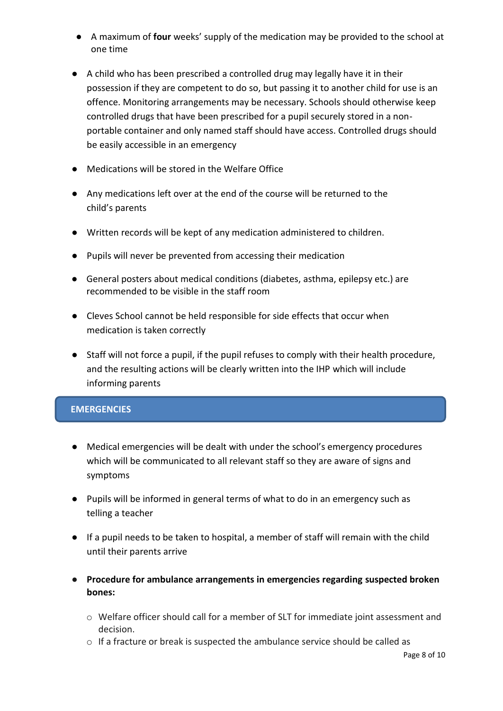- A maximum of **four** weeks' supply of the medication may be provided to the school at one time
- A child who has been prescribed a controlled drug may legally have it in their possession if they are competent to do so, but passing it to another child for use is an offence. Monitoring arrangements may be necessary. Schools should otherwise keep controlled drugs that have been prescribed for a pupil securely stored in a nonportable container and only named staff should have access. Controlled drugs should be easily accessible in an emergency
- Medications will be stored in the Welfare Office
- Any medications left over at the end of the course will be returned to the child's parents
- Written records will be kept of any medication administered to children.
- Pupils will never be prevented from accessing their medication
- General posters about medical conditions (diabetes, asthma, epilepsy etc.) are recommended to be visible in the staff room
- Cleves School cannot be held responsible for side effects that occur when medication is taken correctly
- Staff will not force a pupil, if the pupil refuses to comply with their health procedure, and the resulting actions will be clearly written into the IHP which will include informing parents

# **EMERGENCIES**

- Medical emergencies will be dealt with under the school's emergency procedures which will be communicated to all relevant staff so they are aware of signs and symptoms
- Pupils will be informed in general terms of what to do in an emergency such as telling a teacher
- If a pupil needs to be taken to hospital, a member of staff will remain with the child until their parents arrive
- **Procedure for ambulance arrangements in emergencies regarding suspected broken bones:**
	- o Welfare officer should call for a member of SLT for immediate joint assessment and decision.
	- o If a fracture or break is suspected the ambulance service should be called as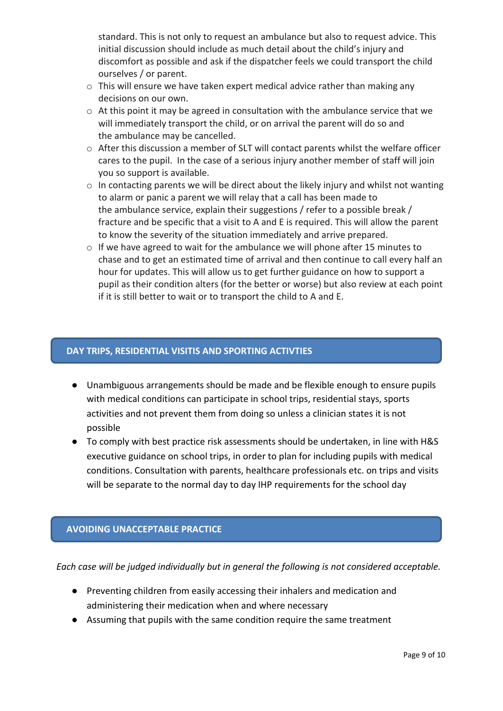standard. This is not only to request an ambulance but also to request advice. This initial discussion should include as much detail about the child's injury and discomfort as possible and ask if the dispatcher feels we could transport the child ourselves / or parent.

- $\circ$  This will ensure we have taken expert medical advice rather than making any decisions on our own.
- $\circ$  At this point it may be agreed in consultation with the ambulance service that we will immediately transport the child, or on arrival the parent will do so and the ambulance may be cancelled.
- o After this discussion a member of SLT will contact parents whilst the welfare officer cares to the pupil. In the case of a serious injury another member of staff will join you so support is available.
- $\circ$  In contacting parents we will be direct about the likely injury and whilst not wanting to alarm or panic a parent we will relay that a call has been made to the ambulance service, explain their suggestions / refer to a possible break / fracture and be specific that a visit to A and E is required. This will allow the parent to know the severity of the situation immediately and arrive prepared.
- o If we have agreed to wait for the ambulance we will phone after 15 minutes to chase and to get an estimated time of arrival and then continue to call every half an hour for updates. This will allow us to get further guidance on how to support a pupil as their condition alters (for the better or worse) but also review at each point if it is still better to wait or to transport the child to A and E.

## **DAY TRIPS, RESIDENTIAL VISITIS AND SPORTING ACTIVTIES**

- Unambiguous arrangements should be made and be flexible enough to ensure pupils with medical conditions can participate in school trips, residential stays, sports activities and not prevent them from doing so unless a clinician states it is not possible
- To comply with best practice risk assessments should be undertaken, in line with H&S executive guidance on school trips, in order to plan for including pupils with medical conditions. Consultation with parents, healthcare professionals etc. on trips and visits will be separate to the normal day to day IHP requirements for the school day

# **AVOIDING UNACCEPTABLE PRACTICE**

*Each case will be judged individually but in general the following is not considered acceptable.*

- Preventing children from easily accessing their inhalers and medication and administering their medication when and where necessary
- Assuming that pupils with the same condition require the same treatment